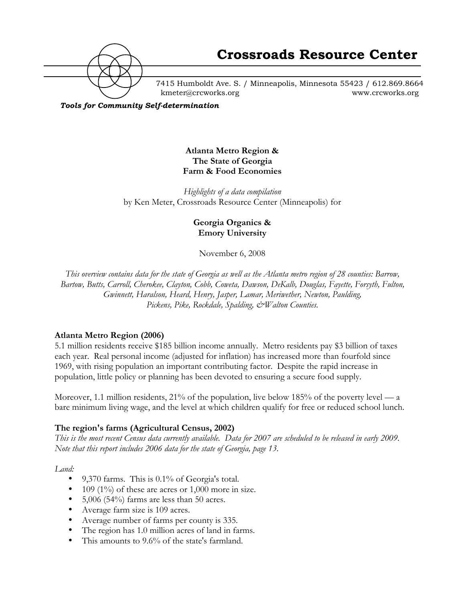

7415 Humboldt Ave. S. / Minneapolis, Minnesota 55423 / 612.869.8664 kmeter@crcworks.org www.crcworks.org

*Tools for Community Self-determination*

## **Atlanta Metro Region & The State of Georgia Farm & Food Economies**

*Highlights of a data compilation* by Ken Meter, Crossroads Resource Center (Minneapolis) for

#### **Georgia Organics & Emory University**

November 6, 2008

*This overview contains data for the state of Georgia as well as the Atlanta metro region of 28 counties: Barrow, Bartow, Butts, Carroll, Cherokee, Clayton, Cobb, Coweta, Dawson, DeKalb, Douglas, Fayette, Forsyth, Fulton, Gwinnett, Haralson, Heard, Henry, Jasper, Lamar, Meriwether, Newton, Paulding, Pickens, Pike, Rockdale, Spalding, &Walton Counties.*

### **Atlanta Metro Region (2006)**

5.1 million residents receive \$185 billion income annually. Metro residents pay \$3 billion of taxes each year. Real personal income (adjusted for inflation) has increased more than fourfold since 1969, with rising population an important contributing factor. Despite the rapid increase in population, little policy or planning has been devoted to ensuring a secure food supply.

Moreover, 1.1 million residents, 21% of the population, live below 185% of the poverty level — a bare minimum living wage, and the level at which children qualify for free or reduced school lunch.

### **The region's farms (Agricultural Census, 2002)**

*This is the most recent Census data currently available. Data for 2007 are scheduled to be released in early 2009. Note that this report includes 2006 data for the state of Georgia, page 13.*

*Land:*

9,370 farms. This is 0.1% of Georgia's total. 109 (1%) of these are acres or  $1,000$  more in size. 5,006 (54%) farms are less than 50 acres. Average farm size is 109 acres. Average number of farms per county is 335. The region has 1.0 million acres of land in farms. This amounts to 9.6% of the state's farmland.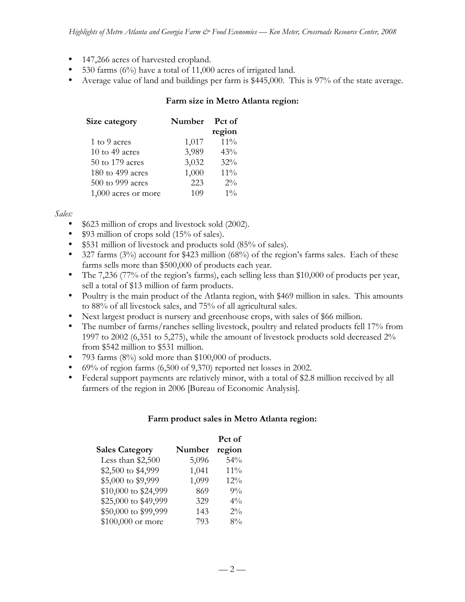147,266 acres of harvested cropland.

530 farms (6%) have a total of 11,000 acres of irrigated land.

Average value of land and buildings per farm is \$445,000. This is 97% of the state average.

#### **Farm size in Metro Atlanta region:**

| Size category       | Number | Pct of |
|---------------------|--------|--------|
|                     |        | region |
| 1 to 9 acres        | 1,017  | $11\%$ |
| 10 to 49 acres      | 3,989  | 43%    |
| 50 to 179 acres     | 3,032  | 32%    |
| 180 to 499 acres    | 1,000  | $11\%$ |
| 500 to 999 acres    | 223    | $2\%$  |
| 1,000 acres or more | 109    | $1\%$  |

### *Sales:*

\$623 million of crops and livestock sold (2002).

\$93 million of crops sold (15% of sales).

\$531 million of livestock and products sold (85% of sales).

327 farms (3%) account for \$423 million (68%) of the region's farms sales. Each of these farms sells more than \$500,000 of products each year.

The 7,236 (77% of the region's farms), each selling less than \$10,000 of products per year, sell a total of \$13 million of farm products.

Poultry is the main product of the Atlanta region, with \$469 million in sales. This amounts to 88% of all livestock sales, and 75% of all agricultural sales.

Next largest product is nursery and greenhouse crops, with sales of \$66 million.

The number of farms/ranches selling livestock, poultry and related products fell 17% from 1997 to 2002 (6,351 to 5,275), while the amount of livestock products sold decreased 2% from \$542 million to \$531 million.

793 farms (8%) sold more than \$100,000 of products.

69% of region farms (6,500 of 9,370) reported net losses in 2002.

Federal support payments are relatively minor, with a total of \$2.8 million received by all farmers of the region in 2006 [Bureau of Economic Analysis].

### **Farm product sales in Metro Atlanta region:**

|                       |        | Pct of |
|-----------------------|--------|--------|
| <b>Sales Category</b> | Number | region |
| Less than \$2,500     | 5,096  | 54%    |
| \$2,500 to \$4,999    | 1,041  | $11\%$ |
| \$5,000 to \$9,999    | 1,099  | 12%    |
| \$10,000 to \$24,999  | 869    | $9\%$  |
| \$25,000 to \$49,999  | 329    | $4\%$  |
| \$50,000 to \$99,999  | 143    | $2\%$  |
| \$100,000 or more     | 793    | 8%     |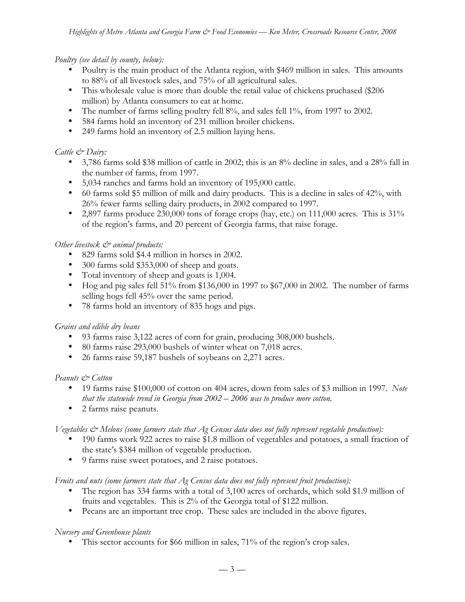#### *Poultry (see detail by county, below):*

Poultry is the main product of the Atlanta region, with \$469 million in sales. This amounts to 88% of all livestock sales, and 75% of all agricultural sales.

This wholesale value is more than double the retail value of chickens pruchased (\$206 million) by Atlanta consumers to eat at home.

The number of farms selling poultry fell 8%, and sales fell 1%, from 1997 to 2002.

584 farms hold an inventory of 231 million broiler chickens.

249 farms hold an inventory of 2.5 million laying hens.

### *Cattle & Dairy:*

3,786 farms sold \$38 million of cattle in 2002; this is an 8% decline in sales, and a 28% fall in the number of farms, from 1997.

5,034 ranches and farms hold an inventory of 195,000 cattle.

60 farms sold \$5 million of milk and dairy products. This is a decline in sales of 42%, with 26% fewer farms selling dairy products, in 2002 compared to 1997.

2,897 farms produce 230,000 tons of forage crops (hay, etc.) on 111,000 acres. This is 31% of the region's farms, and 20 percent of Georgia farms, that raise forage.

### *Other livestock & animal products:*

829 farms sold \$4.4 million in horses in 2002.

300 farms sold \$353,000 of sheep and goats.

Total inventory of sheep and goats is 1,004.

Hog and pig sales fell 51% from \$136,000 in 1997 to \$67,000 in 2002. The number of farms selling hogs fell 45% over the same period.

78 farms hold an inventory of 835 hogs and pigs.

#### *Grains and edible dry beans*

93 farms raise 3,122 acres of corn for grain, producing 308,000 bushels.

80 farms raise 293,000 bushels of winter wheat on 7,018 acres.

26 farms raise 59,187 bushels of soybeans on 2,271 acres.

#### *Peanuts & Cotton*

19 farms raise \$100,000 of cotton on 404 acres, down from sales of \$3 million in 1997. *Note that the statewide trend in Georgia from 2002 – 2006 was to produce more cotton.* 2 farms raise peanuts.

#### *Vegetables & Melons (some farmers state that Ag Census data does not fully represent vegetable production):* 190 farms work 922 acres to raise \$1.8 million of vegetables and potatoes, a small fraction of

the state's \$384 million of vegetable production. 9 farms raise sweet potatoes, and 2 raise potatoes.

*Fruits and nuts (some farmers state that Ag Census data does not fully represent fruit production):*

The region has 334 farms with a total of 3,100 acres of orchards, which sold \$1.9 million of fruits and vegetables. This is 2% of the Georgia total of \$122 million. Pecans are an important tree crop. These sales are included in the above figures.

### *Nursery and Greenhouse plants*

This sector accounts for \$66 million in sales, 71% of the region's crop sales.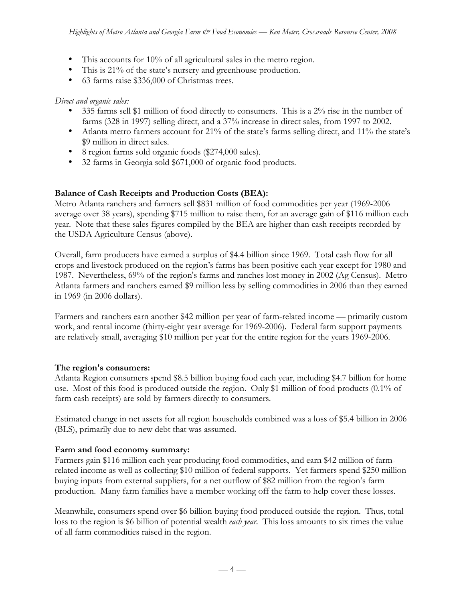This accounts for 10% of all agricultural sales in the metro region. This is 21% of the state's nursery and greenhouse production. 63 farms raise \$336,000 of Christmas trees.

*Direct and organic sales:*

335 farms sell \$1 million of food directly to consumers. This is a 2% rise in the number of farms (328 in 1997) selling direct, and a 37% increase in direct sales, from 1997 to 2002. Atlanta metro farmers account for 21% of the state's farms selling direct, and 11% the state's \$9 million in direct sales.

8 region farms sold organic foods (\$274,000 sales).

32 farms in Georgia sold \$671,000 of organic food products.

## **Balance of Cash Receipts and Production Costs (BEA):**

Metro Atlanta ranchers and farmers sell \$831 million of food commodities per year (1969-2006 average over 38 years), spending \$715 million to raise them, for an average gain of \$116 million each year. Note that these sales figures compiled by the BEA are higher than cash receipts recorded by the USDA Agriculture Census (above).

Overall, farm producers have earned a surplus of \$4.4 billion since 1969. Total cash flow for all crops and livestock produced on the region's farms has been positive each year except for 1980 and 1987. Nevertheless, 69% of the region's farms and ranches lost money in 2002 (Ag Census). Metro Atlanta farmers and ranchers earned \$9 million less by selling commodities in 2006 than they earned in 1969 (in 2006 dollars).

Farmers and ranchers earn another \$42 million per year of farm-related income — primarily custom work, and rental income (thirty-eight year average for 1969-2006). Federal farm support payments are relatively small, averaging \$10 million per year for the entire region for the years 1969-2006.

## **The region's consumers:**

Atlanta Region consumers spend \$8.5 billion buying food each year, including \$4.7 billion for home use. Most of this food is produced outside the region. Only \$1 million of food products (0.1% of farm cash receipts) are sold by farmers directly to consumers.

Estimated change in net assets for all region households combined was a loss of \$5.4 billion in 2006 (BLS), primarily due to new debt that was assumed.

## **Farm and food economy summary:**

Farmers gain \$116 million each year producing food commodities, and earn \$42 million of farmrelated income as well as collecting \$10 million of federal supports. Yet farmers spend \$250 million buying inputs from external suppliers, for a net outflow of \$82 million from the region's farm production. Many farm families have a member working off the farm to help cover these losses.

Meanwhile, consumers spend over \$6 billion buying food produced outside the region. Thus, total loss to the region is \$6 billion of potential wealth *each year*. This loss amounts to six times the value of all farm commodities raised in the region.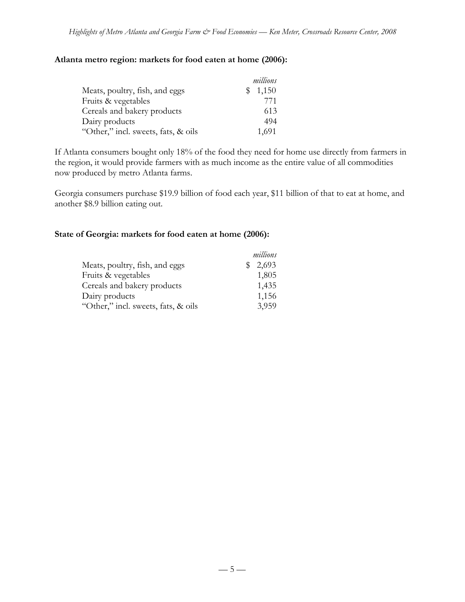#### **Atlanta metro region: markets for food eaten at home (2006):**

|                                     | millions     |
|-------------------------------------|--------------|
| Meats, poultry, fish, and eggs      | 1,150<br>SS. |
| Fruits & vegetables                 | 771          |
| Cereals and bakery products         | 613          |
| Dairy products                      | 494          |
| "Other," incl. sweets, fats, & oils | 1,691        |

If Atlanta consumers bought only 18% of the food they need for home use directly from farmers in the region, it would provide farmers with as much income as the entire value of all commodities now produced by metro Atlanta farms.

Georgia consumers purchase \$19.9 billion of food each year, \$11 billion of that to eat at home, and another \$8.9 billion eating out.

#### **State of Georgia: markets for food eaten at home (2006):**

|                                     | millions |
|-------------------------------------|----------|
| Meats, poultry, fish, and eggs      | \$2,693  |
| Fruits & vegetables                 | 1,805    |
| Cereals and bakery products         | 1,435    |
| Dairy products                      | 1,156    |
| "Other," incl. sweets, fats, & oils | 3,959    |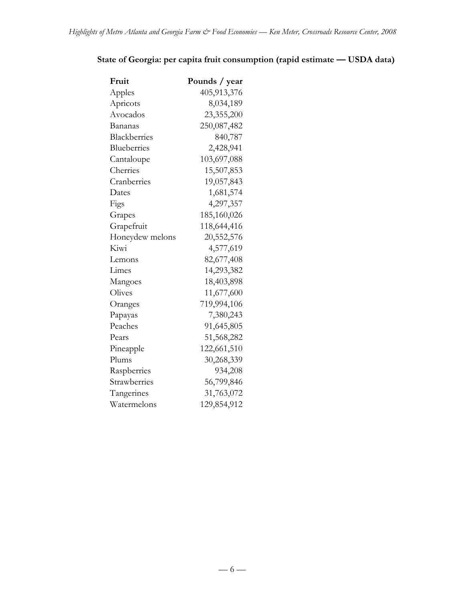# **State of Georgia: per capita fruit consumption (rapid estimate — USDA data)**

| Fruit           | Pounds / year |
|-----------------|---------------|
| Apples          | 405,913,376   |
| Apricots        | 8,034,189     |
| Avocados        | 23,355,200    |
| Bananas         | 250,087,482   |
| Blackberries    | 840,787       |
| Blueberries     | 2,428,941     |
| Cantaloupe      | 103,697,088   |
| Cherries        | 15,507,853    |
| Cranberries     | 19,057,843    |
| Dates           | 1,681,574     |
| Figs            | 4,297,357     |
| Grapes          | 185,160,026   |
| Grapefruit      | 118,644,416   |
| Honeydew melons | 20,552,576    |
| Kiwi            | 4,577,619     |
| Lemons          | 82,677,408    |
| Limes           | 14,293,382    |
| Mangoes         | 18,403,898    |
| Olives          | 11,677,600    |
| Oranges         | 719,994,106   |
| Papayas         | 7,380,243     |
| Peaches         | 91,645,805    |
| Pears           | 51,568,282    |
| Pineapple       | 122,661,510   |
| Plums           | 30,268,339    |
| Raspberries     | 934,208       |
| Strawberries    | 56,799,846    |
| Tangerines      | 31,763,072    |
| Watermelons     | 129,854,912   |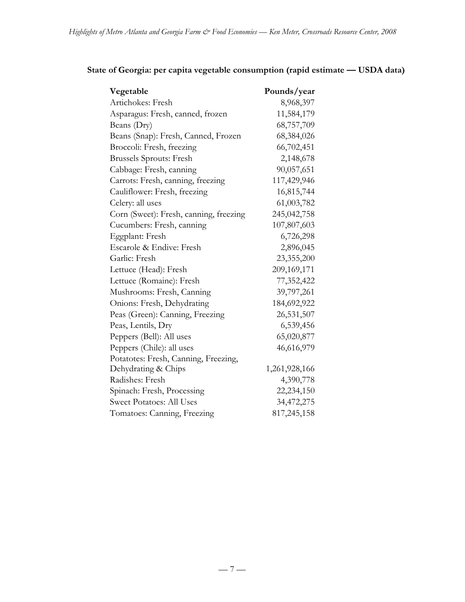| Vegetable                              | Pounds/year   |
|----------------------------------------|---------------|
| Artichokes: Fresh                      | 8,968,397     |
| Asparagus: Fresh, canned, frozen       | 11,584,179    |
| Beans (Dry)                            | 68,757,709    |
| Beans (Snap): Fresh, Canned, Frozen    | 68,384,026    |
| Broccoli: Fresh, freezing              | 66,702,451    |
| <b>Brussels Sprouts: Fresh</b>         | 2,148,678     |
| Cabbage: Fresh, canning                | 90,057,651    |
| Carrots: Fresh, canning, freezing      | 117,429,946   |
| Cauliflower: Fresh, freezing           | 16,815,744    |
| Celery: all uses                       | 61,003,782    |
| Corn (Sweet): Fresh, canning, freezing | 245,042,758   |
| Cucumbers: Fresh, canning              | 107,807,603   |
| Eggplant: Fresh                        | 6,726,298     |
| Escarole & Endive: Fresh               | 2,896,045     |
| Garlic: Fresh                          | 23,355,200    |
| Lettuce (Head): Fresh                  | 209,169,171   |
| Lettuce (Romaine): Fresh               | 77,352,422    |
| Mushrooms: Fresh, Canning              | 39,797,261    |
| Onions: Fresh, Dehydrating             | 184,692,922   |
| Peas (Green): Canning, Freezing        | 26,531,507    |
| Peas, Lentils, Dry                     | 6,539,456     |
| Peppers (Bell): All uses               | 65,020,877    |
| Peppers (Chile): all uses              | 46,616,979    |
| Potatotes: Fresh, Canning, Freezing,   |               |
| Dehydrating & Chips                    | 1,261,928,166 |
| Radishes: Fresh                        | 4,390,778     |
| Spinach: Fresh, Processing             | 22,234,150    |
| <b>Sweet Potatoes: All Uses</b>        | 34,472,275    |
| Tomatoes: Canning, Freezing            | 817,245,158   |

# **State of Georgia: per capita vegetable consumption (rapid estimate!— USDA data)**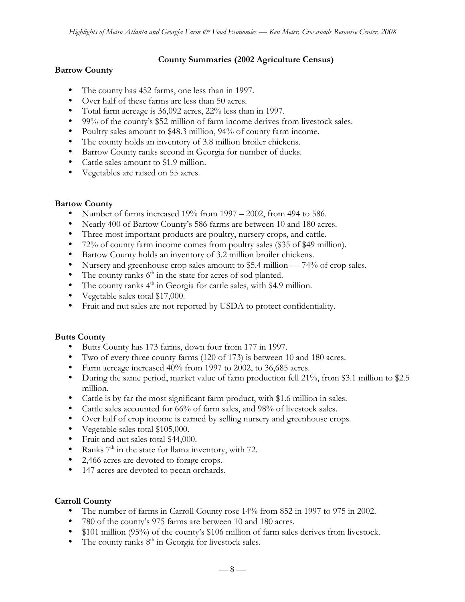#### **County Summaries (2002 Agriculture Census)**

### **Barrow County**

The county has 452 farms, one less than in 1997. Over half of these farms are less than 50 acres. Total farm acreage is 36,092 acres, 22% less than in 1997. 99% of the county's \$52 million of farm income derives from livestock sales. Poultry sales amount to \$48.3 million, 94% of county farm income. The county holds an inventory of 3.8 million broiler chickens. Barrow County ranks second in Georgia for number of ducks. Cattle sales amount to \$1.9 million. Vegetables are raised on 55 acres.

#### **Bartow County**

Number of farms increased 19% from 1997 – 2002, from 494 to 586. Nearly 400 of Bartow County's 586 farms are between 10 and 180 acres. Three most important products are poultry, nursery crops, and cattle. 72% of county farm income comes from poultry sales (\$35 of \$49 million). Bartow County holds an inventory of 3.2 million broiler chickens. Nursery and greenhouse crop sales amount to \$5.4 million — 74% of crop sales. The county ranks  $6<sup>th</sup>$  in the state for acres of sod planted. The county ranks 4<sup>th</sup> in Georgia for cattle sales, with \$4.9 million. Vegetable sales total \$17,000. Fruit and nut sales are not reported by USDA to protect confidentiality.

### **Butts County**

Butts County has 173 farms, down four from 177 in 1997. Two of every three county farms (120 of 173) is between 10 and 180 acres. Farm acreage increased 40% from 1997 to 2002, to 36,685 acres. During the same period, market value of farm production fell 21%, from \$3.1 million to \$2.5 million. Cattle is by far the most significant farm product, with \$1.6 million in sales. Cattle sales accounted for 66% of farm sales, and 98% of livestock sales. Over half of crop income is earned by selling nursery and greenhouse crops. Vegetable sales total \$105,000. Fruit and nut sales total \$44,000. Ranks  $7<sup>th</sup>$  in the state for llama inventory, with 72. 2,466 acres are devoted to forage crops. 147 acres are devoted to pecan orchards.

### **Carroll County**

The number of farms in Carroll County rose 14% from 852 in 1997 to 975 in 2002. 780 of the county's 975 farms are between 10 and 180 acres. \$101 million (95%) of the county's \$106 million of farm sales derives from livestock. The county ranks  $8<sup>th</sup>$  in Georgia for livestock sales.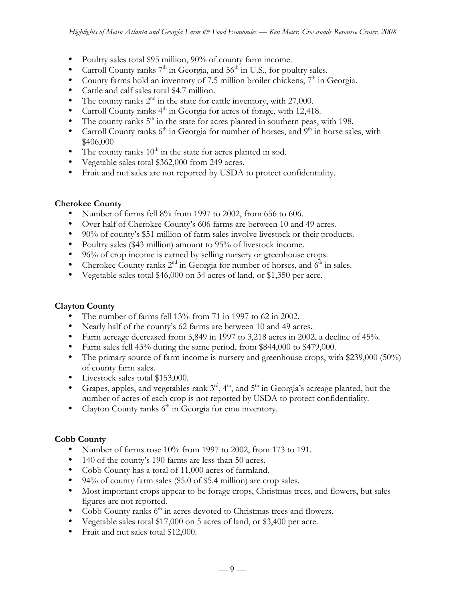Poultry sales total \$95 million, 90% of county farm income. Carroll County ranks  $7<sup>th</sup>$  in Georgia, and  $56<sup>th</sup>$  in U.S., for poultry sales. County farms hold an inventory of  $7.5$  million broiler chickens,  $7<sup>th</sup>$  in Georgia. Cattle and calf sales total \$4.7 million. The county ranks  $2^{nd}$  in the state for cattle inventory, with 27,000. Carroll County ranks 4<sup>th</sup> in Georgia for acres of forage, with 12,418. The county ranks  $5<sup>th</sup>$  in the state for acres planted in southern peas, with 198. Carroll County ranks  $6<sup>th</sup>$  in Georgia for number of horses, and  $9<sup>th</sup>$  in horse sales, with \$406,000 The county ranks  $10<sup>th</sup>$  in the state for acres planted in sod. Vegetable sales total \$362,000 from 249 acres. Fruit and nut sales are not reported by USDA to protect confidentiality.

#### **Cherokee County**

Number of farms fell 8% from 1997 to 2002, from 656 to 606. Over half of Cherokee County's 606 farms are between 10 and 49 acres. 90% of county's \$51 million of farm sales involve livestock or their products. Poultry sales (\$43 million) amount to 95% of livestock income. 96% of crop income is earned by selling nursery or greenhouse crops. Cherokee County ranks  $2<sup>nd</sup>$  in Georgia for number of horses, and  $6<sup>th</sup>$  in sales. Vegetable sales total \$46,000 on 34 acres of land, or \$1,350 per acre.

### **Clayton County**

The number of farms fell 13% from 71 in 1997 to 62 in 2002.

Nearly half of the county's 62 farms are between 10 and 49 acres.

Farm acreage decreased from 5,849 in 1997 to 3,218 acres in 2002, a decline of 45%.

Farm sales fell 43% during the same period, from \$844,000 to \$479,000.

The primary source of farm income is nursery and greenhouse crops, with \$239,000 (50%) of county farm sales.

Livestock sales total \$153,000.

Grapes, apples, and vegetables rank  $3<sup>rd</sup>$ ,  $4<sup>th</sup>$ , and  $5<sup>th</sup>$  in Georgia's acreage planted, but the number of acres of each crop is not reported by USDA to protect confidentiality. Clayton County ranks  $6<sup>th</sup>$  in Georgia for emu inventory.

### **Cobb County**

Number of farms rose 10% from 1997 to 2002, from 173 to 191. 140 of the county's 190 farms are less than 50 acres. Cobb County has a total of 11,000 acres of farmland. 94% of county farm sales (\$5.0 of \$5.4 million) are crop sales. Most important crops appear to be forage crops, Christmas trees, and flowers, but sales figures are not reported. Cobb County ranks  $6<sup>th</sup>$  in acres devoted to Christmas trees and flowers. Vegetable sales total \$17,000 on 5 acres of land, or \$3,400 per acre. Fruit and nut sales total \$12,000.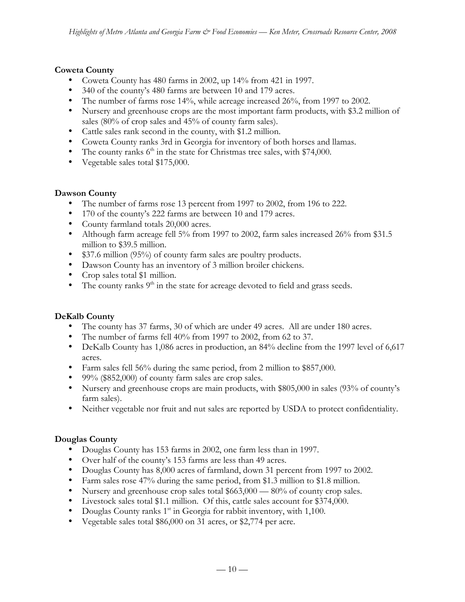### **Coweta County**

Coweta County has 480 farms in 2002, up 14% from 421 in 1997. 340 of the county's 480 farms are between 10 and 179 acres. The number of farms rose 14%, while acreage increased 26%, from 1997 to 2002. Nursery and greenhouse crops are the most important farm products, with \$3.2 million of sales (80% of crop sales and 45% of county farm sales). Cattle sales rank second in the county, with \$1.2 million. Coweta County ranks 3rd in Georgia for inventory of both horses and llamas. The county ranks  $6<sup>th</sup>$  in the state for Christmas tree sales, with \$74,000. Vegetable sales total \$175,000.

### **Dawson County**

The number of farms rose 13 percent from 1997 to 2002, from 196 to 222. 170 of the county's 222 farms are between 10 and 179 acres. County farmland totals 20,000 acres. Although farm acreage fell 5% from 1997 to 2002, farm sales increased 26% from \$31.5 million to \$39.5 million. \$37.6 million (95%) of county farm sales are poultry products. Dawson County has an inventory of 3 million broiler chickens. Crop sales total \$1 million.

The county ranks  $9<sup>th</sup>$  in the state for acreage devoted to field and grass seeds.

### **DeKalb County**

The county has 37 farms, 30 of which are under 49 acres. All are under 180 acres.

The number of farms fell 40% from 1997 to 2002, from 62 to 37.

DeKalb County has 1,086 acres in production, an 84% decline from the 1997 level of 6,617 acres.

Farm sales fell 56% during the same period, from 2 million to \$857,000.

99% (\$852,000) of county farm sales are crop sales.

Nursery and greenhouse crops are main products, with \$805,000 in sales (93% of county's farm sales).

Neither vegetable nor fruit and nut sales are reported by USDA to protect confidentiality.

### **Douglas County**

Douglas County has 153 farms in 2002, one farm less than in 1997.

Over half of the county's 153 farms are less than 49 acres.

Douglas County has 8,000 acres of farmland, down 31 percent from 1997 to 2002.

Farm sales rose 47% during the same period, from \$1.3 million to \$1.8 million.

Nursery and greenhouse crop sales total \$663,000 — 80% of county crop sales.

Livestock sales total \$1.1 million. Of this, cattle sales account for \$374,000.

Douglas County ranks 1<sup>st</sup> in Georgia for rabbit inventory, with 1,100.

Vegetable sales total \$86,000 on 31 acres, or \$2,774 per acre.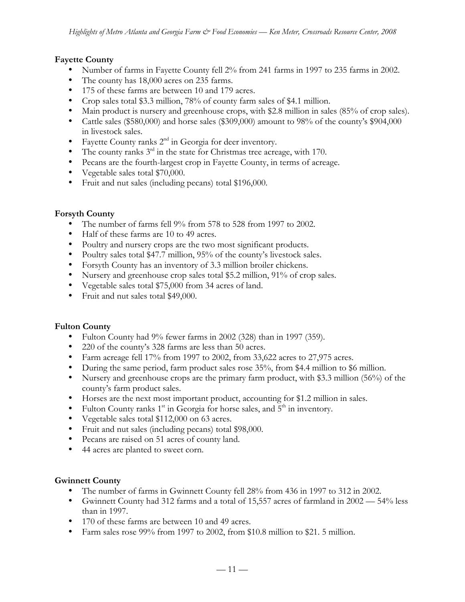#### **Fayette County**

Number of farms in Fayette County fell 2% from 241 farms in 1997 to 235 farms in 2002. The county has 18,000 acres on 235 farms.

175 of these farms are between 10 and 179 acres.

Crop sales total \$3.3 million, 78% of county farm sales of \$4.1 million.

Main product is nursery and greenhouse crops, with \$2.8 million in sales (85% of crop sales). Cattle sales (\$580,000) and horse sales (\$309,000) amount to 98% of the county's \$904,000 in livestock sales.

Fayette County ranks  $2<sup>nd</sup>$  in Georgia for deer inventory.

The county ranks  $3<sup>rd</sup>$  in the state for Christmas tree acreage, with 170.

Pecans are the fourth-largest crop in Fayette County, in terms of acreage.

Vegetable sales total \$70,000.

Fruit and nut sales (including pecans) total \$196,000.

### **Forsyth County**

The number of farms fell 9% from 578 to 528 from 1997 to 2002. Half of these farms are 10 to 49 acres. Poultry and nursery crops are the two most significant products. Poultry sales total \$47.7 million, 95% of the county's livestock sales. Forsyth County has an inventory of 3.3 million broiler chickens. Nursery and greenhouse crop sales total \$5.2 million, 91% of crop sales. Vegetable sales total \$75,000 from 34 acres of land. Fruit and nut sales total \$49,000.

### **Fulton County**

Fulton County had 9% fewer farms in 2002 (328) than in 1997 (359). 220 of the county's 328 farms are less than 50 acres. Farm acreage fell 17% from 1997 to 2002, from 33,622 acres to 27,975 acres. During the same period, farm product sales rose 35%, from \$4.4 million to \$6 million. Nursery and greenhouse crops are the primary farm product, with \$3.3 million (56%) of the county's farm product sales. Horses are the next most important product, accounting for \$1.2 million in sales. Fulton County ranks  $1<sup>st</sup>$  in Georgia for horse sales, and  $5<sup>th</sup>$  in inventory. Vegetable sales total \$112,000 on 63 acres.

Fruit and nut sales (including pecans) total \$98,000.

Pecans are raised on 51 acres of county land.

44 acres are planted to sweet corn.

### **Gwinnett County**

The number of farms in Gwinnett County fell 28% from 436 in 1997 to 312 in 2002. Gwinnett County had 312 farms and a total of 15,557 acres of farmland in 2002 — 54% less than in 1997.

170 of these farms are between 10 and 49 acres.

Farm sales rose 99% from 1997 to 2002, from \$10.8 million to \$21. 5 million.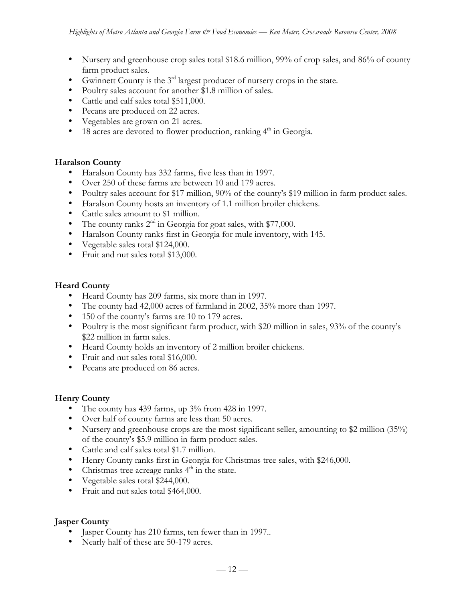Nursery and greenhouse crop sales total \$18.6 million, 99% of crop sales, and 86% of county farm product sales. Gwinnett County is the  $3<sup>rd</sup>$  largest producer of nursery crops in the state. Poultry sales account for another \$1.8 million of sales. Cattle and calf sales total \$511,000. Pecans are produced on 22 acres. Vegetables are grown on 21 acres. 18 acres are devoted to flower production, ranking 4<sup>th</sup> in Georgia.

#### **Haralson County**

Haralson County has 332 farms, five less than in 1997.

Over 250 of these farms are between 10 and 179 acres.

Poultry sales account for \$17 million, 90% of the county's \$19 million in farm product sales. Haralson County hosts an inventory of 1.1 million broiler chickens.

Cattle sales amount to \$1 million.

The county ranks  $2<sup>nd</sup>$  in Georgia for goat sales, with \$77,000.

Haralson County ranks first in Georgia for mule inventory, with 145.

Vegetable sales total \$124,000.

Fruit and nut sales total \$13,000.

#### **Heard County**

Heard County has 209 farms, six more than in 1997.

The county had 42,000 acres of farmland in 2002, 35% more than 1997.

150 of the county's farms are 10 to 179 acres.

Poultry is the most significant farm product, with \$20 million in sales, 93% of the county's \$22 million in farm sales.

Heard County holds an inventory of 2 million broiler chickens.

Fruit and nut sales total \$16,000.

Pecans are produced on 86 acres.

### **Henry County**

The county has 439 farms, up 3% from 428 in 1997. Over half of county farms are less than 50 acres. Nursery and greenhouse crops are the most significant seller, amounting to \$2 million (35%) of the county's \$5.9 million in farm product sales. Cattle and calf sales total \$1.7 million. Henry County ranks first in Georgia for Christmas tree sales, with \$246,000. Christmas tree acreage ranks  $4<sup>th</sup>$  in the state. Vegetable sales total \$244,000. Fruit and nut sales total \$464,000.

#### **Jasper County**

Jasper County has 210 farms, ten fewer than in 1997.. Nearly half of these are 50-179 acres.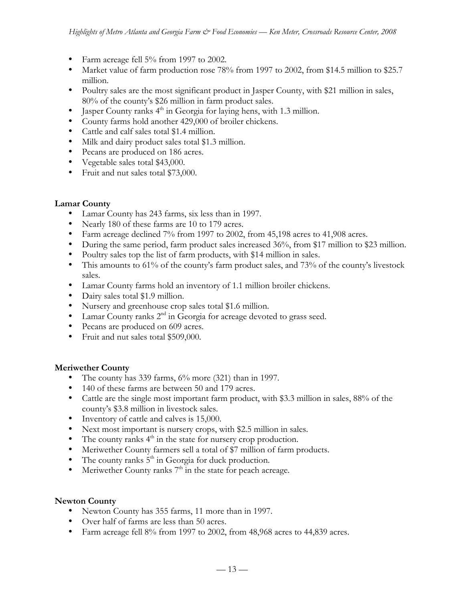Farm acreage fell 5% from 1997 to 2002. Market value of farm production rose 78% from 1997 to 2002, from \$14.5 million to \$25.7 million. Poultry sales are the most significant product in Jasper County, with \$21 million in sales, 80% of the county's \$26 million in farm product sales. Jasper County ranks 4<sup>th</sup> in Georgia for laying hens, with 1.3 million. County farms hold another 429,000 of broiler chickens. Cattle and calf sales total \$1.4 million. Milk and dairy product sales total \$1.3 million. Pecans are produced on 186 acres. Vegetable sales total \$43,000. Fruit and nut sales total \$73,000.

### **Lamar County**

Lamar County has 243 farms, six less than in 1997. Nearly 180 of these farms are 10 to 179 acres. Farm acreage declined 7% from 1997 to 2002, from 45,198 acres to 41,908 acres. During the same period, farm product sales increased 36%, from \$17 million to \$23 million. Poultry sales top the list of farm products, with \$14 million in sales. This amounts to 61% of the county's farm product sales, and 73% of the county's livestock sales. Lamar County farms hold an inventory of 1.1 million broiler chickens. Dairy sales total \$1.9 million. Nursery and greenhouse crop sales total \$1.6 million. Lamar County ranks  $2<sup>nd</sup>$  in Georgia for acreage devoted to grass seed. Pecans are produced on 609 acres. Fruit and nut sales total \$509,000.

### **Meriwether County**

The county has 339 farms, 6% more (321) than in 1997.

140 of these farms are between 50 and 179 acres.

Cattle are the single most important farm product, with \$3.3 million in sales, 88% of the county's \$3.8 million in livestock sales.

Inventory of cattle and calves is 15,000.

Next most important is nursery crops, with \$2.5 million in sales.

The county ranks  $4<sup>th</sup>$  in the state for nursery crop production.

Meriwether County farmers sell a total of \$7 million of farm products.

The county ranks  $5<sup>th</sup>$  in Georgia for duck production.

Meriwether County ranks  $7<sup>th</sup>$  in the state for peach acreage.

### **Newton County**

Newton County has 355 farms, 11 more than in 1997. Over half of farms are less than 50 acres. Farm acreage fell 8% from 1997 to 2002, from 48,968 acres to 44,839 acres.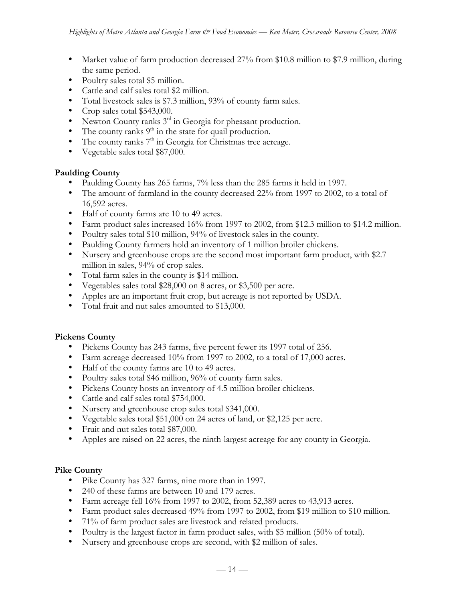Market value of farm production decreased 27% from \$10.8 million to \$7.9 million, during the same period. Poultry sales total \$5 million. Cattle and calf sales total \$2 million. Total livestock sales is \$7.3 million, 93% of county farm sales. Crop sales total \$543,000. Newton County ranks 3rd in Georgia for pheasant production. The county ranks 9<sup>th</sup> in the state for quail production. The county ranks  $7<sup>th</sup>$  in Georgia for Christmas tree acreage. Vegetable sales total \$87,000.

## **Paulding County**

Paulding County has 265 farms, 7% less than the 285 farms it held in 1997. The amount of farmland in the county decreased 22% from 1997 to 2002, to a total of 16,592 acres. Half of county farms are 10 to 49 acres. Farm product sales increased 16% from 1997 to 2002, from \$12.3 million to \$14.2 million. Poultry sales total \$10 million, 94% of livestock sales in the county. Paulding County farmers hold an inventory of 1 million broiler chickens. Nursery and greenhouse crops are the second most important farm product, with \$2.7 million in sales, 94% of crop sales. Total farm sales in the county is \$14 million. Vegetables sales total \$28,000 on 8 acres, or \$3,500 per acre. Apples are an important fruit crop, but acreage is not reported by USDA. Total fruit and nut sales amounted to \$13,000.

## **Pickens County**

Pickens County has 243 farms, five percent fewer its 1997 total of 256. Farm acreage decreased 10% from 1997 to 2002, to a total of 17,000 acres. Half of the county farms are 10 to 49 acres. Poultry sales total \$46 million, 96% of county farm sales. Pickens County hosts an inventory of 4.5 million broiler chickens. Cattle and calf sales total \$754,000. Nursery and greenhouse crop sales total \$341,000. Vegetable sales total \$51,000 on 24 acres of land, or \$2,125 per acre. Fruit and nut sales total \$87,000. Apples are raised on 22 acres, the ninth-largest acreage for any county in Georgia.

## **Pike County**

Pike County has 327 farms, nine more than in 1997.

240 of these farms are between 10 and 179 acres.

Farm acreage fell 16% from 1997 to 2002, from 52,389 acres to 43,913 acres.

Farm product sales decreased 49% from 1997 to 2002, from \$19 million to \$10 million.

71% of farm product sales are livestock and related products.

Poultry is the largest factor in farm product sales, with \$5 million (50% of total).

Nursery and greenhouse crops are second, with \$2 million of sales.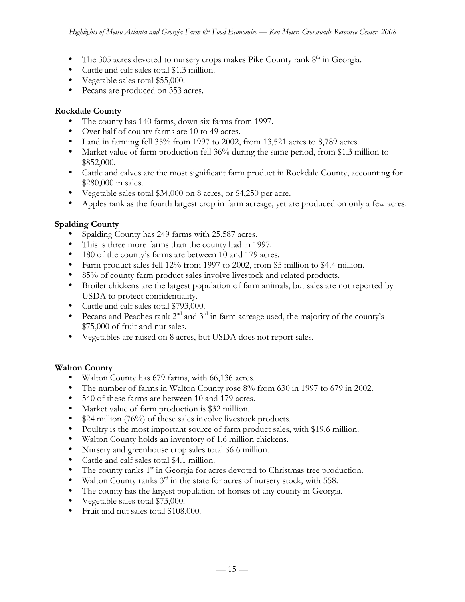The 305 acres devoted to nursery crops makes Pike County rank  $8<sup>th</sup>$  in Georgia. Cattle and calf sales total \$1.3 million. Vegetable sales total \$55,000. Pecans are produced on 353 acres.

## **Rockdale County**

The county has 140 farms, down six farms from 1997. Over half of county farms are 10 to 49 acres. Land in farming fell 35% from 1997 to 2002, from 13,521 acres to 8,789 acres. Market value of farm production fell 36% during the same period, from \$1.3 million to \$852,000. Cattle and calves are the most significant farm product in Rockdale County, accounting for

\$280,000 in sales.

Vegetable sales total \$34,000 on 8 acres, or \$4,250 per acre.

Apples rank as the fourth largest crop in farm acreage, yet are produced on only a few acres.

## **Spalding County**

Spalding County has 249 farms with 25,587 acres.

This is three more farms than the county had in 1997.

180 of the county's farms are between 10 and 179 acres.

Farm product sales fell 12% from 1997 to 2002, from \$5 million to \$4.4 million.

85% of county farm product sales involve livestock and related products.

Broiler chickens are the largest population of farm animals, but sales are not reported by USDA to protect confidentiality.

Cattle and calf sales total \$793,000.

Pecans and Peaches rank  $2<sup>nd</sup>$  and  $3<sup>rd</sup>$  in farm acreage used, the majority of the county's \$75,000 of fruit and nut sales.

Vegetables are raised on 8 acres, but USDA does not report sales.

### **Walton County**

Walton County has 679 farms, with 66,136 acres.

The number of farms in Walton County rose 8% from 630 in 1997 to 679 in 2002.

540 of these farms are between 10 and 179 acres.

Market value of farm production is \$32 million.

\$24 million (76%) of these sales involve livestock products.

Poultry is the most important source of farm product sales, with \$19.6 million.

Walton County holds an inventory of 1.6 million chickens.

Nursery and greenhouse crop sales total \$6.6 million.

Cattle and calf sales total \$4.1 million.

The county ranks 1<sup>st</sup> in Georgia for acres devoted to Christmas tree production.

Walton County ranks  $3<sup>rd</sup>$  in the state for acres of nursery stock, with 558.

The county has the largest population of horses of any county in Georgia.

Vegetable sales total \$73,000.

Fruit and nut sales total \$108,000.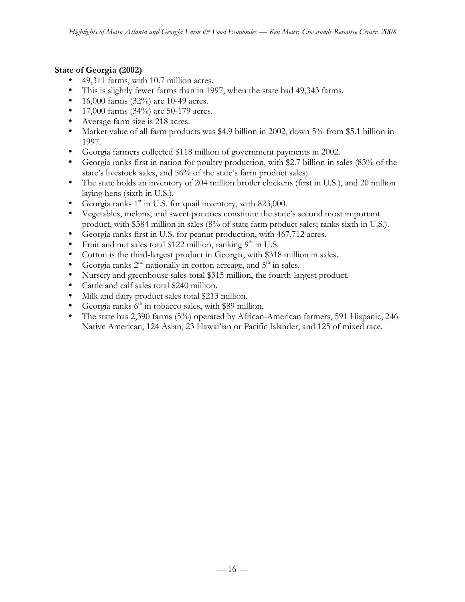## **State of Georgia (2002)**

49,311 farms, with 10.7 million acres.

This is slightly fewer farms than in 1997, when the state had 49,343 farms.

16,000 farms (32%) are 10-49 acres.

17,000 farms (34%) are 50-179 acres.

Average farm size is 218 acres.

Market value of all farm products was \$4.9 billion in 2002, down 5% from \$5.1 billion in 1997.

Georgia farmers collected \$118 million of government payments in 2002.

Georgia ranks first in nation for poultry production, with \$2.7 billion in sales (83% of the state's livestock sales, and 56% of the state's farm product sales).

The state holds an inventory of 204 million broiler chickens (first in U.S.), and 20 million laying hens (sixth in U.S.).

Georgia ranks  $1<sup>st</sup>$  in U.S. for quail inventory, with 823,000.

Vegetables, melons, and sweet potatoes constitute the state's second most important

product, with \$384 million in sales (8% of state farm product sales; ranks sixth in U.S.).

Georgia ranks first in U.S. for peanut production, with 467,712 acres.

Fruit and nut sales total \$122 million, ranking  $9<sup>th</sup>$  in U.S.

Cotton is the third-largest product in Georgia, with \$318 million in sales.

Georgia ranks  $2<sup>nd</sup>$  nationally in cotton acreage, and  $5<sup>th</sup>$  in sales.

Nursery and greenhouse sales total \$315 million, the fourth-largest product.

Cattle and calf sales total \$240 million.

Milk and dairy product sales total \$213 million.

Georgia ranks  $6<sup>th</sup>$  in tobacco sales, with \$89 million.

The state has 2,390 farms (5%) operated by African-American farmers, 591 Hispanic, 246 Native American, 124 Asian, 23 Hawai'ian or Pacific Islander, and 125 of mixed race.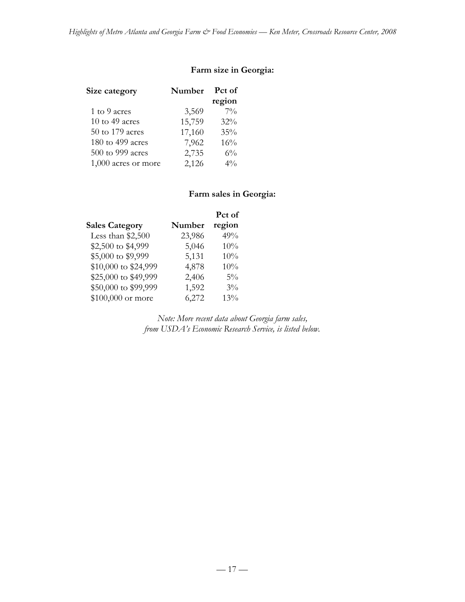## **Farm size in Georgia:**

| Size category       | Number | Pct of |
|---------------------|--------|--------|
|                     |        | region |
| 1 to 9 acres        | 3,569  | $7\%$  |
| 10 to 49 acres      | 15,759 | 32%    |
| 50 to 179 acres     | 17,160 | 35%    |
| 180 to 499 acres    | 7,962  | 16%    |
| 500 to 999 acres    | 2,735  | $6\%$  |
| 1,000 acres or more | 2,126  | $4\%$  |

# **Farm sales in Georgia:**

|                       |        | Pct of |
|-----------------------|--------|--------|
| <b>Sales Category</b> | Number | region |
| Less than \$2,500     | 23,986 | 49%    |
| \$2,500 to \$4,999    | 5,046  | 10%    |
| \$5,000 to \$9,999    | 5,131  | 10%    |
| \$10,000 to \$24,999  | 4,878  | 10%    |
| \$25,000 to \$49,999  | 2,406  | $5\%$  |
| \$50,000 to \$99,999  | 1,592  | $3\%$  |
| \$100,000 or more     | 6,272  | 13%    |

*Note: More recent data about Georgia farm sales, from USDA's Economic Research Service, is listed below.*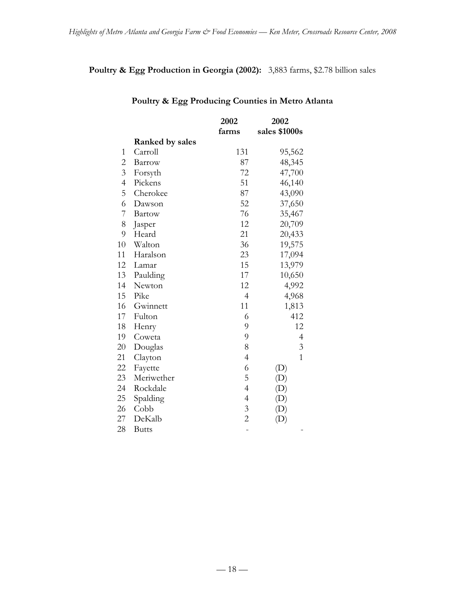# **Poultry & Egg Production in Georgia (2002):** 3,883 farms, \$2.78 billion sales

|                |                 | 2002           | 2002                       |
|----------------|-----------------|----------------|----------------------------|
|                |                 | farms          | sales \$1000s              |
|                | Ranked by sales |                |                            |
| $\mathbf{1}$   | Carroll         | 131            | 95,562                     |
| $\overline{c}$ | Barrow          | 87             | 48,345                     |
| $\overline{3}$ | Forsyth         | 72             | 47,700                     |
| $\overline{4}$ | Pickens         | 51             | 46,140                     |
| 5              | Cherokee        | 87             | 43,090                     |
| 6              | Dawson          | 52             | 37,650                     |
| 7              | <b>Bartow</b>   | 76             | 35,467                     |
| 8              | Jasper          | 12             | 20,709                     |
| 9              | Heard           | 21             | 20,433                     |
| 10             | Walton          | 36             | 19,575                     |
| 11             | Haralson        | 23             | 17,094                     |
| 12             | Lamar           | 15             | 13,979                     |
| 13             | Paulding        | 17             | 10,650                     |
| 14             | Newton          | 12             | 4,992                      |
| 15             | Pike            | $\overline{4}$ | 4,968                      |
| 16             | Gwinnett        | 11             | 1,813                      |
| 17             | Fulton          | 6              | 412                        |
| 18             | Henry           | 9              | 12                         |
| 19             | Coweta          | 9              | $\overline{4}$             |
| 20             | Douglas         | 8              | $\mathfrak{Z}$             |
| 21             | Clayton         | $\overline{4}$ | $\mathbf{1}$               |
| 22             | Fayette         | 6              | $\left( \mathrm{D}\right)$ |
| 23             | Meriwether      | 5              | $\left( \mathrm{D}\right)$ |
| 24             | Rockdale        | $\overline{4}$ |                            |
| 25             | Spalding        | $\overline{4}$ | (D)                        |
| 26             | Cobb            | $\mathfrak{Z}$ |                            |
| 27             | DeKalb          | $\overline{c}$ | $\left( \mathrm{D}\right)$ |
| 28             | <b>Butts</b>    |                |                            |

# **Poultry & Egg Producing Counties in Metro Atlanta**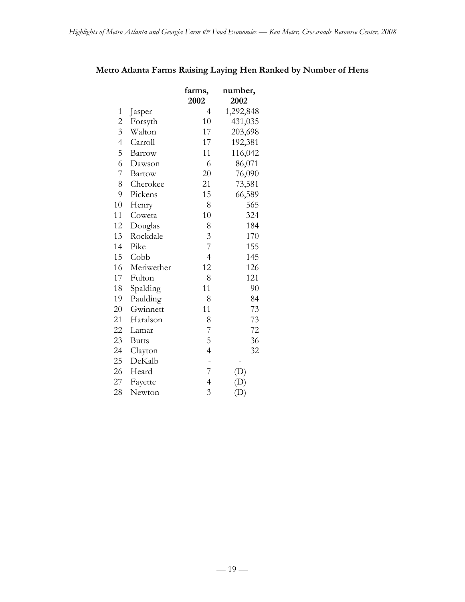|                          |               | farms,<br>2002 | number,<br>2002            |
|--------------------------|---------------|----------------|----------------------------|
| $\mathbf{1}$             | Jasper        | 4              | 1,292,848                  |
| $\overline{c}$           | Forsyth       | 10             | 431,035                    |
| $\overline{3}$           | Walton        | 17             | 203,698                    |
| $\overline{\mathcal{A}}$ | Carroll       | 17             | 192,381                    |
| 5                        | Barrow        | 11             | 116,042                    |
| 6                        | Dawson        | 6              | 86,071                     |
| 7                        | <b>Bartow</b> | 20             | 76,090                     |
| 8                        | Cherokee      | 21             | 73,581                     |
| 9                        | Pickens       | 15             | 66,589                     |
| 10                       | Henry         | 8              | 565                        |
| 11                       | Coweta        | 10             | 324                        |
| 12                       | Douglas       | 8              | 184                        |
| 13                       | Rockdale      | 3              | 170                        |
| 14                       | Pike          | $\overline{7}$ | 155                        |
| 15                       | Cobb          | $\overline{4}$ | 145                        |
| 16                       | Meriwether    | 12             | 126                        |
| 17                       | Fulton        | 8              | 121                        |
| 18                       | Spalding      | 11             | 90                         |
| 19                       | Paulding      | 8              | 84                         |
| 20                       | Gwinnett      | 11             | 73                         |
| 21                       | Haralson      | 8              | 73                         |
| 22                       | Lamar         | 7              | 72                         |
| 23                       | <b>Butts</b>  | 5              | 36                         |
| 24                       | Clayton       | $\overline{4}$ | 32                         |
| 25                       | DeKalb        | -              |                            |
| 26                       | Heard         | 7              |                            |
| 27                       | Fayette       | $\overline{4}$ |                            |
| 28                       | Newton        | 3              | $\left( \mathrm{D}\right)$ |

# **Metro Atlanta Farms Raising Laying Hen Ranked by Number of Hens**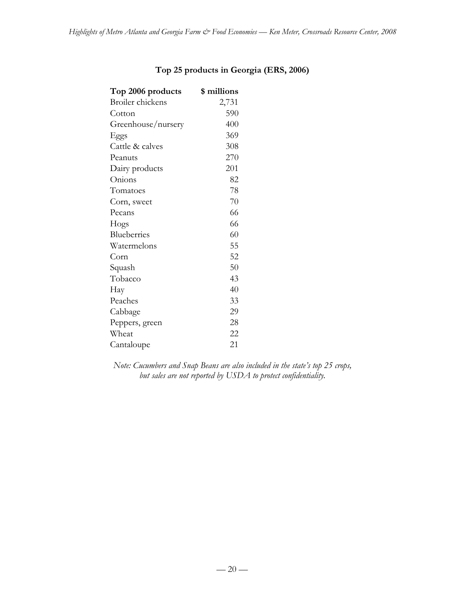| Top 2006 products       | \$ millions |
|-------------------------|-------------|
| <b>Broiler</b> chickens | 2,731       |
| Cotton                  | 590         |
| Greenhouse/nursery      | 400         |
| Eggs                    | 369         |
| Cattle & calves         | 308         |
| Peanuts                 | 270         |
| Dairy products          | 201         |
| Onions                  | 82          |
| Tomatoes                | 78          |
| Corn, sweet             | 70          |
| Pecans                  | 66          |
| Hogs                    | 66          |
| Blueberries             | 60          |
| Watermelons             | 55          |
| Corn                    | 52          |
| Squash                  | 50          |
| Tobacco                 | 43          |
| Hay                     | 40          |
| Peaches                 | 33          |
| Cabbage                 | 29          |
| Peppers, green          | 28          |
| Wheat                   | 22          |
| Cantaloupe              | 21          |

# **Top 25 products in Georgia (ERS, 2006)**

*Note: Cucumbers and Snap Beans are also included in the state's top 25 crops, but sales are not reported by USDA to protect confidentiality.*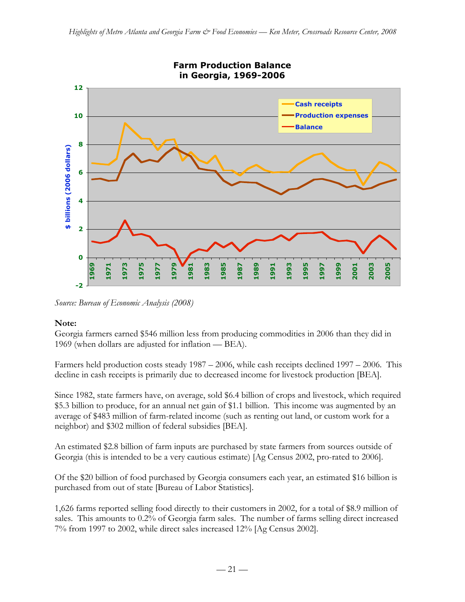

*Source: Bureau of Economic Analysis (2008)*

### **Note:**

Georgia farmers earned \$546 million less from producing commodities in 2006 than they did in 1969 (when dollars are adjusted for inflation — BEA).

Farmers held production costs steady 1987 – 2006, while cash receipts declined 1997 – 2006. This decline in cash receipts is primarily due to decreased income for livestock production [BEA].

Since 1982, state farmers have, on average, sold \$6.4 billion of crops and livestock, which required \$5.3 billion to produce, for an annual net gain of \$1.1 billion. This income was augmented by an average of \$483 million of farm-related income (such as renting out land, or custom work for a neighbor) and \$302 million of federal subsidies [BEA].

An estimated \$2.8 billion of farm inputs are purchased by state farmers from sources outside of Georgia (this is intended to be a very cautious estimate) [Ag Census 2002, pro-rated to 2006].

Of the \$20 billion of food purchased by Georgia consumers each year, an estimated \$16 billion is purchased from out of state [Bureau of Labor Statistics].

1,626 farms reported selling food directly to their customers in 2002, for a total of \$8.9 million of sales. This amounts to 0.2% of Georgia farm sales. The number of farms selling direct increased 7% from 1997 to 2002, while direct sales increased 12% [Ag Census 2002].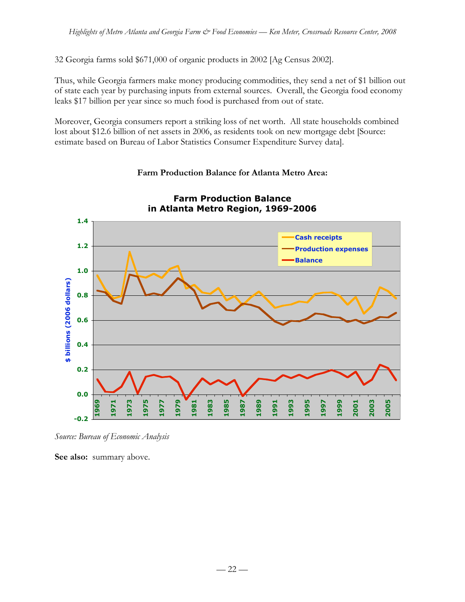32 Georgia farms sold \$671,000 of organic products in 2002 [Ag Census 2002].

Thus, while Georgia farmers make money producing commodities, they send a net of \$1 billion out of state each year by purchasing inputs from external sources. Overall, the Georgia food economy leaks \$17 billion per year since so much food is purchased from out of state.

Moreover, Georgia consumers report a striking loss of net worth. All state households combined lost about \$12.6 billion of net assets in 2006, as residents took on new mortgage debt [Source: estimate based on Bureau of Labor Statistics Consumer Expenditure Survey data].

#### **Farm Production Balance in Atlanta Metro Region, 1969-2006 1.4 Cash receipts 1.2 Production expenses Balance 1.0** \$ billions (2006 dollars) **\$ billions (2006 dollars) 0.8 0.6 0.4 0.2 0.0 1983 1985 1989 1973 1975 1993 1999 2005 1969 1971 1979 1981 1987 1991 1997 2001 2003 1977 1995 -0.2**

## **Farm Production Balance for Atlanta Metro Area:**

*Source: Bureau of Economic Analysis*

See also: summary above.